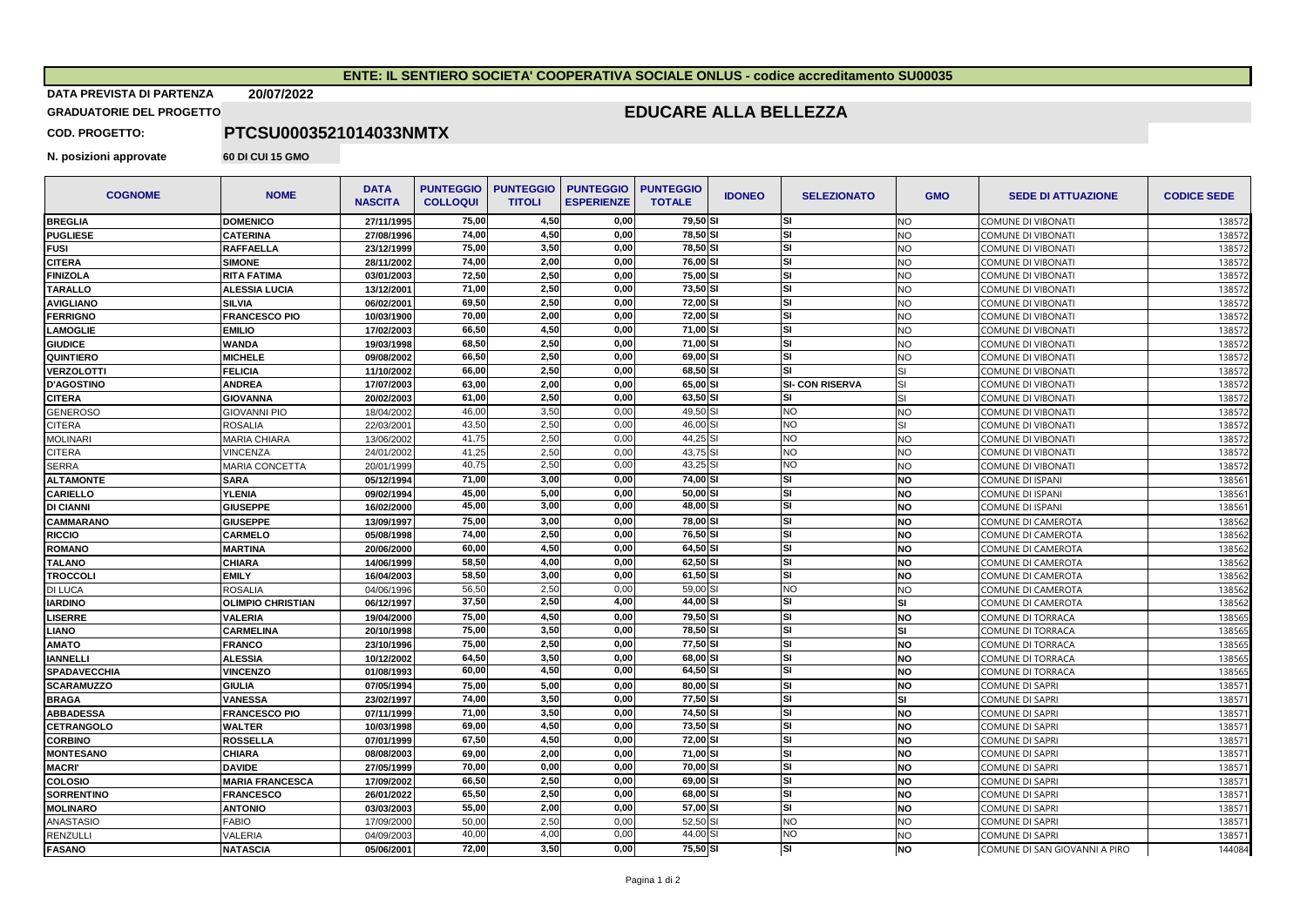## **ENTE: IL SENTIERO SOCIETA' COOPERATIVA SOCIALE ONLUS - codice accreditamento SU00035**

## **DATA PREVISTA DI PARTENZA 20/07/2022**

**GRADUATORIE DEL PROGETTO** 

## **EDUCARE ALLA BELLEZZA**

**COD. PROGETTO:**

**N. posizioni approvate 60 DI CUI 15 GMO** 

**PTCSU0003521014033NMTX**

| <b>COGNOME</b>    | <b>NOME</b>              | <b>DATA</b><br><b>NASCITA</b> | <b>PUNTEGGIO</b><br><b>COLLOQUI</b> | <b>PUNTEGGIO</b><br><b>TITOLI</b> | <b>PUNTEGGIO</b><br><b>ESPERIENZE</b> | <b>PUNTEGGIO</b><br><b>TOTALE</b> | <b>IDONEO</b> | <b>SELEZIONATO</b>     | <b>GMO</b>              | <b>SEDE DI ATTUAZIONE</b>     | <b>CODICE SEDE</b> |
|-------------------|--------------------------|-------------------------------|-------------------------------------|-----------------------------------|---------------------------------------|-----------------------------------|---------------|------------------------|-------------------------|-------------------------------|--------------------|
| <b>BREGLIA</b>    | <b>DOMENICO</b>          | 27/11/1995                    | 75.00                               | 4.50                              | 0.00                                  | 79.50 SI                          |               | SI                     | <b>NO</b>               | COMUNE DI VIBONATI            | 13857              |
| <b>PUGLIESE</b>   | <b>CATERINA</b>          | 27/08/1996                    | 74,00                               | 4,50                              | 0,00                                  | 78,50 SI                          |               | SI                     | <b>NO</b>               | <b>COMUNE DI VIBONATI</b>     | 13857              |
| <b>FUSI</b>       | <b>RAFFAELLA</b>         | 23/12/1999                    | 75.00                               | 3.50                              | 0.00                                  | 78.50 SI                          |               | SI                     | NO.                     | <b>COMUNE DI VIBONATI</b>     | 13857              |
| <b>CITERA</b>     | <b>SIMONE</b>            | 28/11/2002                    | 74,00                               | 2,00                              | 0,00                                  | 76,00 SI                          |               | SI                     | <b>NO</b>               | <b>COMUNE DI VIBONATI</b>     | 13857              |
| <b>FINIZOLA</b>   | <b>RITA FATIMA</b>       | 03/01/2003                    | 72,50                               | 2.50                              | 0.00                                  | 75,00 SI                          |               | SI                     | NO.                     | <b>COMUNE DI VIBONATI</b>     | 13857              |
| <b>TARALLO</b>    | <b>ALESSIA LUCIA</b>     | 13/12/2001                    | 71,00                               | 2,50                              | 0,00                                  | 73,50 SI                          |               | SI                     | NO                      | <b>COMUNE DI VIBONATI</b>     | 13857              |
| <b>AVIGLIANO</b>  | <b>SILVIA</b>            | 06/02/2001                    | 69,50                               | 2.50                              | 0.00                                  | 72,00 SI                          |               | SI                     | NO                      | <b>COMUNE DI VIBONATI</b>     | 13857              |
| <b>FERRIGNO</b>   | <b>FRANCESCO PIO</b>     | 10/03/1900                    | 70,00                               | 2,00                              | 0.00                                  | 72,00 SI                          |               | SI                     | NO.                     | <b>COMUNE DI VIBONATI</b>     | 13857              |
| <b>LAMOGLIE</b>   | <b>EMILIO</b>            | 17/02/2003                    | 66,50                               | 4,50                              | 0.00                                  | 71,00 SI                          |               | SI                     | NO                      | COMUNE DI VIBONATI            | 13857              |
| <b>GIUDICE</b>    | <b>WANDA</b>             | 19/03/1998                    | 68,50                               | 2,50                              | 0.00                                  | 71,00 SI                          |               | SI                     | <b>NO</b>               | COMUNE DI VIBONATI            | 13857              |
| <b>QUINTIERO</b>  | <b>MICHELE</b>           | 09/08/2002                    | 66,50                               | 2,50                              | 0,00                                  | 69,00 SI                          |               | SI                     | NO                      | COMUNE DI VIBONATI            | 13857              |
| <b>VERZOLOTTI</b> | <b>FELICIA</b>           | 11/10/2002                    | 66,00                               | 2,50                              | 0,00                                  | 68,50 SI                          |               | SI                     | $\overline{\mathbf{S}}$ | COMUNE DI VIBONATI            | 13857              |
| <b>D'AGOSTINO</b> | <b>ANDREA</b>            | 17/07/2003                    | 63.00                               | 2.00                              | 0.00                                  | 65.00 SI                          |               | <b>SI- CON RISERVA</b> | SI                      | <b>COMUNE DI VIBONATI</b>     | 13857              |
| <b>CITERA</b>     | <b>GIOVANNA</b>          | 20/02/2003                    | 61,00                               | 2,50                              | 0,00                                  | 63,50 SI                          |               | SI                     | SI.                     | <b>COMUNE DI VIBONATI</b>     | 13857              |
| <b>GENEROSO</b>   | <b>GIOVANNI PIO</b>      | 18/04/2002                    | 46,00                               | 3,50                              | 0.00                                  | 49.50 SI                          |               | NO.                    | <b>NO</b>               | <b>COMUNE DI VIBONATI</b>     | 13857              |
| <b>CITERA</b>     | <b>ROSALIA</b>           | 22/03/2001                    | 43,50                               | 2,50                              | 0,00                                  | 46,00 SI                          |               | NO                     | SI                      | <b>COMUNE DI VIBONATI</b>     | 13857              |
| <b>MOLINARI</b>   | <b>MARIA CHIARA</b>      | 13/06/2002                    | 41,75                               | 2.50                              | 0.00                                  | 44,25 SI                          |               | NO.                    | <b>NO</b>               | <b>COMUNE DI VIBONATI</b>     | 13857              |
| CITERA            | VINCENZA                 | 24/01/2002                    | 41,25                               | 2,50                              | 0,00                                  | 43,75 SI                          |               | NO                     | <b>NO</b>               | <b>COMUNE DI VIBONATI</b>     | 13857              |
| <b>SERRA</b>      | <b>MARIA CONCETTA</b>    | 20/01/1999                    | 40,75                               | 2,50                              | 0.00                                  | 43.25 SI                          |               | NΟ                     | NO                      | COMUNE DI VIBONATI            | 13857              |
| <b>ALTAMONTE</b>  | <b>SARA</b>              | 05/12/1994                    | 71.00                               | 3.00                              | 0.00                                  | 74.00 SI                          |               | SI                     | <b>NO</b>               | COMUNE DI ISPANI              | 13856              |
| <b>CARIELLO</b>   | <b>YLENIA</b>            | 09/02/1994                    | 45,00                               | 5,00                              | 0,00                                  | 50,00 SI                          |               | SI                     | <b>NO</b>               | <b>COMUNE DI ISPAN</b>        | 13856              |
| DI CIANNI         | <b>GIUSEPPE</b>          | 16/02/2000                    | 45,00                               | 3,00                              | 0,00                                  | 48,00 SI                          |               | SI                     | <b>NO</b>               | <b>COMUNE DI ISPANI</b>       | 138561             |
| <b>CAMMARANO</b>  | <b>GIUSEPPE</b>          | 13/09/1997                    | 75,00                               | 3,00                              | 0,00                                  | 78,00 SI                          |               | SI                     | <b>NO</b>               | COMUNE DI CAMEROTA            | 138562             |
| RICCIO            | <b>CARMELO</b>           | 05/08/1998                    | 74,00                               | 2,50                              | 0.00                                  | 76.50 SI                          |               | SI                     | <b>NO</b>               | COMUNE DI CAMEROTA            | 138562             |
| <b>ROMANO</b>     | <b>MARTINA</b>           | 20/06/2000                    | 60.00                               | 4.50                              | 0.00                                  | 64.50 SI                          |               | SI                     | <b>NO</b>               | COMUNE DI CAMEROTA            | 138562             |
| <b>TALANO</b>     | <b>CHIARA</b>            | 14/06/1999                    | 58,50                               | 4,00                              | 0.00                                  | 62,50 SI                          |               | SI                     | <b>NO</b>               | COMUNE DI CAMEROTA            | 13856              |
| <b>TROCCOLI</b>   | <b>EMILY</b>             | 16/04/2003                    | 58.50                               | 3.00                              | 0.00                                  | 61.50 SI                          |               | <b>SI</b>              | <b>NO</b>               | COMUNE DI CAMEROTA            | 13856              |
| DI LUCA           | <b>ROSALIA</b>           | 04/06/1996                    | 56,50                               | 2,50                              | 0,00                                  | 59,00 SI                          |               | NO.                    | NO.                     | COMUNE DI CAMEROTA            | 138562             |
| <b>IARDINO</b>    | <b>OLIMPIO CHRISTIAN</b> | 06/12/1997                    | 37,50                               | 2,50                              | 4,00                                  | 44,00 SI                          |               | SΙ                     | SI                      | COMUNE DI CAMEROTA            | 13856              |
| LISERRE           | <b>VALERIA</b>           | 19/04/2000                    | 75,00                               | 4,50                              | 0,00                                  | 79,50 SI                          |               | SI                     | <b>NO</b>               | COMUNE DI TORRACA             | 138565             |
| LIANO             | <b>CARMELINA</b>         | 20/10/1998                    | 75,00                               | 3,50                              | 0.00                                  | 78,50 SI                          |               | SI                     | SI                      | COMUNE DI TORRACA             | 13856              |
| OTAMA             | <b>FRANCO</b>            | 23/10/1996                    | 75,00                               | 2,50                              | 0.00                                  | 77,50 SI                          |               | SI                     | <b>NO</b>               | COMUNE DI TORRACA             | 138565             |
| <b>IANNELLI</b>   | <b>ALESSIA</b>           | 10/12/2002                    | 64,50                               | 3,50                              | 0,00                                  | 68,00 SI                          |               | SI                     | <b>NO</b>               | COMUNE DI TORRACA             | 13856              |
| SPADAVECCHIA      | <b>VINCENZO</b>          | 01/08/1993                    | 60,00                               | 4,50                              | 0.00                                  | 64,50 SI                          |               | SI                     | <b>NO</b>               | COMUNE DI TORRACA             | 13856              |
| <b>SCARAMUZZO</b> | <b>GIULIA</b>            | 07/05/1994                    | 75,00                               | 5,00                              | 0,00                                  | 80,00 SI                          |               | SI                     | <b>NO</b>               | <b>COMUNE DI SAPRI</b>        | 13857              |
| <b>BRAGA</b>      | <b>VANESSA</b>           | 23/02/1997                    | 74,00                               | 3,50                              | 0,00                                  | 77,50 SI                          |               | SI                     | SI                      | <b>COMUNE DI SAPRI</b>        | 13857              |
| <b>ABBADESSA</b>  | <b>FRANCESCO PIO</b>     | 07/11/1999                    | 71,00                               | 3,50                              | 0,00                                  | 74,50 SI                          |               | SI                     | <b>NO</b>               | <b>COMUNE DI SAPRI</b>        | 13857              |
| CETRANGOLO        | <b>WALTER</b>            | 10/03/1998                    | 69,00                               | 4,50                              | 0,00                                  | 73,50 SI                          |               | SI                     | <b>NO</b>               | <b>COMUNE DI SAPRI</b>        | 13857              |
| <b>CORBINO</b>    | <b>ROSSELLA</b>          | 07/01/1999                    | 67,50                               | 4,50                              | 0,00                                  | 72,00 SI                          |               | SI                     | NO                      | <b>COMUNE DI SAPRI</b>        | 13857              |
| <b>MONTESANO</b>  | <b>CHIARA</b>            | 08/08/2003                    | 69,00                               | 2,00                              | 0,00                                  | 71,00 SI                          |               | SI                     | <b>NO</b>               | <b>COMUNE DI SAPRI</b>        | 13857              |
| <b>MACRI'</b>     | <b>DAVIDE</b>            | 27/05/1999                    | 70,00                               | 0,00                              | 0,00                                  | 70,00 SI                          |               | SI                     | <b>NO</b>               | <b>COMUNE DI SAPRI</b>        | 13857              |
| <b>COLOSIO</b>    | <b>MARIA FRANCESCA</b>   | 17/09/2002                    | 66,50                               | 2,50                              | 0,00                                  | 69,00 SI                          |               | SI                     | <b>NO</b>               | <b>COMUNE DI SAPRI</b>        | 13857              |
| <b>SORRENTINO</b> | <b>FRANCESCO</b>         | 26/01/2022                    | 65,50                               | 2,50                              | 0,00                                  | 68,00 SI                          |               | SI                     | <b>NO</b>               | <b>COMUNE DI SAPRI</b>        | 13857              |
| <b>MOLINARO</b>   | <b>ANTONIO</b>           | 03/03/2003                    | 55,00                               | 2,00                              | 0,00                                  | 57.00 SI                          |               | SI                     | NO                      | <b>COMUNE DI SAPRI</b>        | 13857              |
| <b>ANASTASIO</b>  | <b>FABIO</b>             | 17/09/2000                    | 50,00                               | 2,50                              | 0,00                                  | 52,50 SI                          |               | NO.                    | NO                      | <b>COMUNE DI SAPRI</b>        | 13857              |
| <b>RENZULLI</b>   | VALERIA                  | 04/09/2003                    | 40,00                               | 4,00                              | 0.00                                  | 44,00 SI                          |               | ŃО                     | NO.                     | <b>COMUNE DI SAPRI</b>        | 13857              |
| <b>FASANO</b>     | <b>NATASCIA</b>          | 05/06/2001                    | 72,00                               | 3,50                              | 0,00                                  | 75,50 SI                          |               | SI                     | <b>NO</b>               | COMUNE DI SAN GIOVANNI A PIRO | 144084             |
|                   |                          |                               |                                     |                                   |                                       |                                   |               |                        |                         |                               |                    |